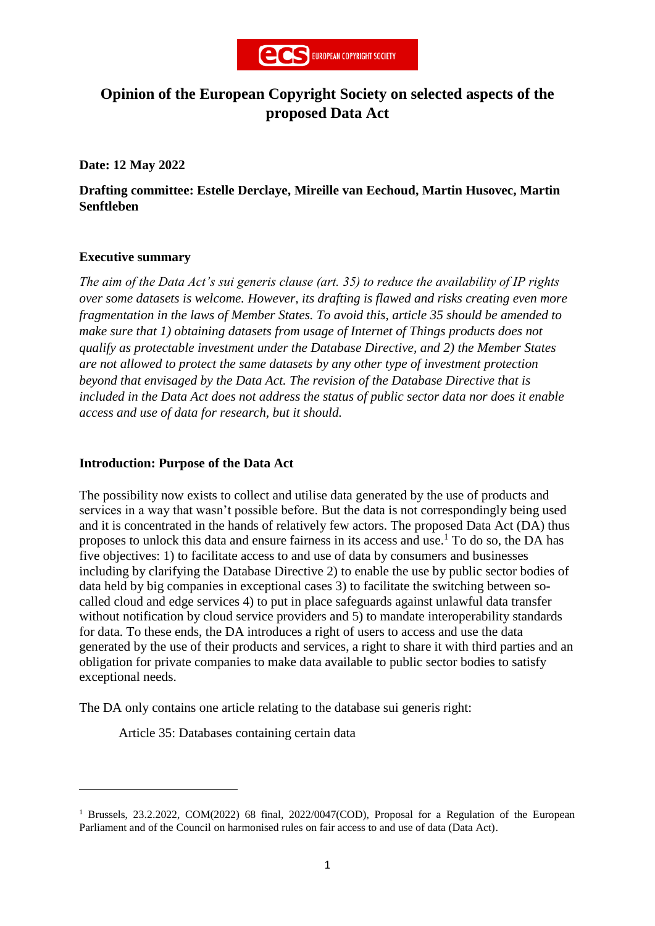

# **Opinion of the European Copyright Society on selected aspects of the proposed Data Act**

**Date: 12 May 2022**

**Drafting committee: Estelle Derclaye, Mireille van Eechoud, Martin Husovec, Martin Senftleben**

### **Executive summary**

**.** 

*The aim of the Data Act's sui generis clause (art. 35) to reduce the availability of IP rights over some datasets is welcome. However, its drafting is flawed and risks creating even more fragmentation in the laws of Member States. To avoid this, article 35 should be amended to make sure that 1) obtaining datasets from usage of Internet of Things products does not qualify as protectable investment under the Database Directive, and 2) the Member States are not allowed to protect the same datasets by any other type of investment protection beyond that envisaged by the Data Act. The revision of the Database Directive that is included in the Data Act does not address the status of public sector data nor does it enable access and use of data for research, but it should.*

#### **Introduction: Purpose of the Data Act**

The possibility now exists to collect and utilise data generated by the use of products and services in a way that wasn't possible before. But the data is not correspondingly being used and it is concentrated in the hands of relatively few actors. The proposed Data Act (DA) thus proposes to unlock this data and ensure fairness in its access and use.<sup>1</sup> To do so, the DA has five objectives: 1) to facilitate access to and use of data by consumers and businesses including by clarifying the Database Directive 2) to enable the use by public sector bodies of data held by big companies in exceptional cases 3) to facilitate the switching between socalled cloud and edge services 4) to put in place safeguards against unlawful data transfer without notification by cloud service providers and 5) to mandate interoperability standards for data. To these ends, the DA introduces a right of users to access and use the data generated by the use of their products and services, a right to share it with third parties and an obligation for private companies to make data available to public sector bodies to satisfy exceptional needs.

The DA only contains one article relating to the database sui generis right:

Article 35: Databases containing certain data

<sup>&</sup>lt;sup>1</sup> Brussels, 23.2.2022, COM(2022) 68 final, 2022/0047(COD), Proposal for a Regulation of the European Parliament and of the Council on harmonised rules on fair access to and use of data (Data Act).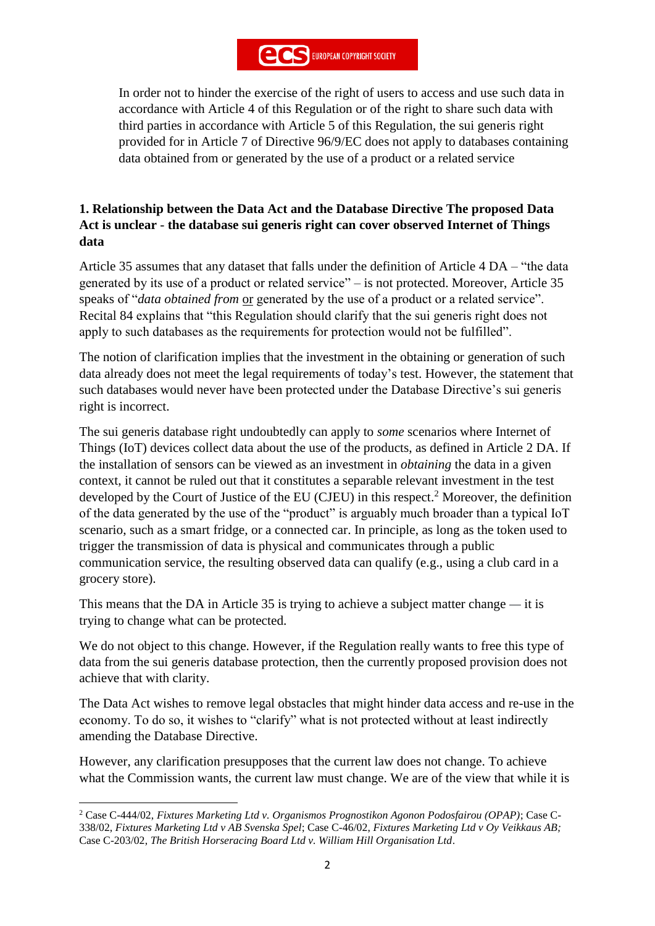In order not to hinder the exercise of the right of users to access and use such data in accordance with Article 4 of this Regulation or of the right to share such data with third parties in accordance with Article 5 of this Regulation, the sui generis right provided for in Article 7 of Directive 96/9/EC does not apply to databases containing data obtained from or generated by the use of a product or a related service

### **1. Relationship between the Data Act and the Database Directive The proposed Data Act is unclear** - **the database sui generis right can cover observed Internet of Things data**

Article 35 assumes that any dataset that falls under the definition of Article 4 DA – "the data generated by its use of a product or related service" – is not protected. Moreover, Article 35 speaks of "*data obtained from* or generated by the use of a product or a related service". Recital 84 explains that "this Regulation should clarify that the sui generis right does not apply to such databases as the requirements for protection would not be fulfilled".

The notion of clarification implies that the investment in the obtaining or generation of such data already does not meet the legal requirements of today's test. However, the statement that such databases would never have been protected under the Database Directive's sui generis right is incorrect.

The sui generis database right undoubtedly can apply to *some* scenarios where Internet of Things (IoT) devices collect data about the use of the products, as defined in Article 2 DA. If the installation of sensors can be viewed as an investment in *obtaining* the data in a given context, it cannot be ruled out that it constitutes a separable relevant investment in the test developed by the Court of Justice of the EU (CJEU) in this respect. <sup>2</sup> Moreover, the definition of the data generated by the use of the "product" is arguably much broader than a typical IoT scenario, such as a smart fridge, or a connected car. In principle, as long as the token used to trigger the transmission of data is physical and communicates through a public communication service, the resulting observed data can qualify (e.g., using a club card in a grocery store).

This means that the DA in Article 35 is trying to achieve a subject matter change  $-$  it is trying to change what can be protected.

We do not object to this change. However, if the Regulation really wants to free this type of data from the sui generis database protection, then the currently proposed provision does not achieve that with clarity.

The Data Act wishes to remove legal obstacles that might hinder data access and re-use in the economy. To do so, it wishes to "clarify" what is not protected without at least indirectly amending the Database Directive.

However, any clarification presupposes that the current law does not change. To achieve what the Commission wants, the current law must change. We are of the view that while it is

<sup>1</sup> <sup>2</sup> Case C-444/02, *Fixtures Marketing Ltd v. Organismos Prognostikon Agonon Podosfairou (OPAP)*; Case C-338/02, *Fixtures Marketing Ltd v AB Svenska Spel*; Case C-46/02, *Fixtures Marketing Ltd v Oy Veikkaus AB;*  Case C-203/02, *The British Horseracing Board Ltd v. William Hill Organisation Ltd*.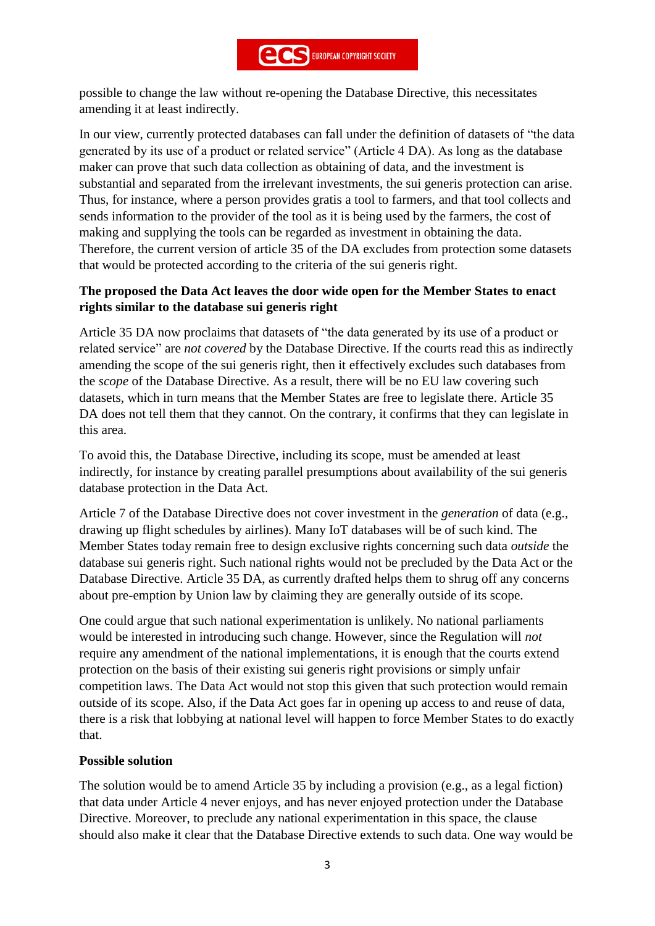possible to change the law without re-opening the Database Directive, this necessitates amending it at least indirectly.

In our view, currently protected databases can fall under the definition of datasets of "the data generated by its use of a product or related service" (Article 4 DA). As long as the database maker can prove that such data collection as obtaining of data, and the investment is substantial and separated from the irrelevant investments, the sui generis protection can arise. Thus, for instance, where a person provides gratis a tool to farmers, and that tool collects and sends information to the provider of the tool as it is being used by the farmers, the cost of making and supplying the tools can be regarded as investment in obtaining the data. Therefore, the current version of article 35 of the DA excludes from protection some datasets that would be protected according to the criteria of the sui generis right.

## **The proposed the Data Act leaves the door wide open for the Member States to enact rights similar to the database sui generis right**

Article 35 DA now proclaims that datasets of "the data generated by its use of a product or related service" are *not covered* by the Database Directive. If the courts read this as indirectly amending the scope of the sui generis right, then it effectively excludes such databases from the *scope* of the Database Directive. As a result, there will be no EU law covering such datasets, which in turn means that the Member States are free to legislate there. Article 35 DA does not tell them that they cannot. On the contrary, it confirms that they can legislate in this area.

To avoid this, the Database Directive, including its scope, must be amended at least indirectly, for instance by creating parallel presumptions about availability of the sui generis database protection in the Data Act.

Article 7 of the Database Directive does not cover investment in the *generation* of data (e.g., drawing up flight schedules by airlines). Many IoT databases will be of such kind. The Member States today remain free to design exclusive rights concerning such data *outside* the database sui generis right. Such national rights would not be precluded by the Data Act or the Database Directive. Article 35 DA, as currently drafted helps them to shrug off any concerns about pre-emption by Union law by claiming they are generally outside of its scope.

One could argue that such national experimentation is unlikely. No national parliaments would be interested in introducing such change. However, since the Regulation will *not* require any amendment of the national implementations, it is enough that the courts extend protection on the basis of their existing sui generis right provisions or simply unfair competition laws. The Data Act would not stop this given that such protection would remain outside of its scope. Also, if the Data Act goes far in opening up access to and reuse of data, there is a risk that lobbying at national level will happen to force Member States to do exactly that.

## **Possible solution**

The solution would be to amend Article 35 by including a provision (e.g., as a legal fiction) that data under Article 4 never enjoys, and has never enjoyed protection under the Database Directive. Moreover, to preclude any national experimentation in this space, the clause should also make it clear that the Database Directive extends to such data. One way would be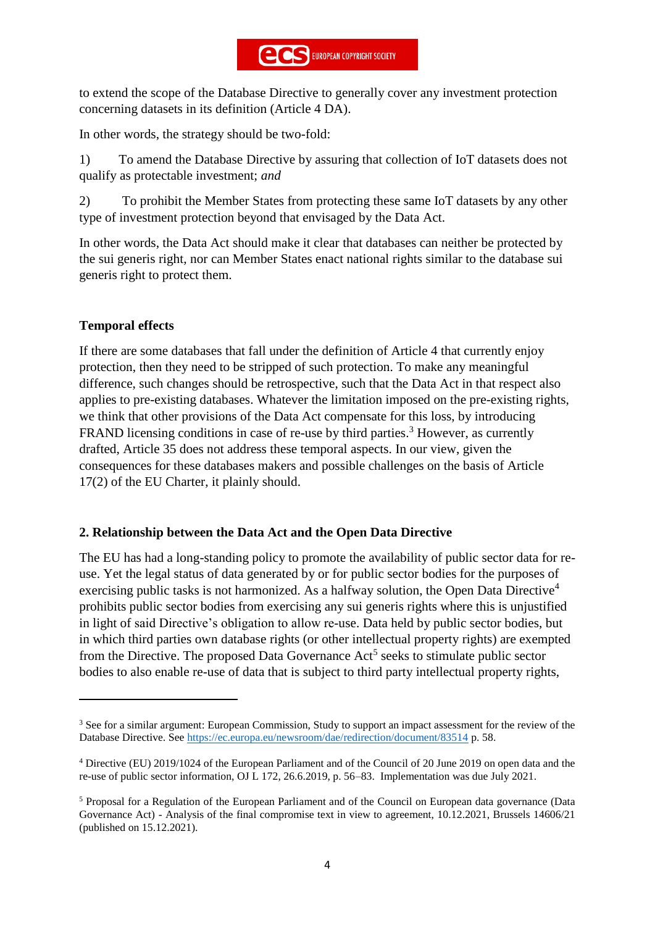to extend the scope of the Database Directive to generally cover any investment protection concerning datasets in its definition (Article 4 DA).

In other words, the strategy should be two-fold:

1) To amend the Database Directive by assuring that collection of IoT datasets does not qualify as protectable investment; *and*

2) To prohibit the Member States from protecting these same IoT datasets by any other type of investment protection beyond that envisaged by the Data Act.

In other words, the Data Act should make it clear that databases can neither be protected by the sui generis right, nor can Member States enact national rights similar to the database sui generis right to protect them.

## **Temporal effects**

 $\overline{a}$ 

If there are some databases that fall under the definition of Article 4 that currently enjoy protection, then they need to be stripped of such protection. To make any meaningful difference, such changes should be retrospective, such that the Data Act in that respect also applies to pre-existing databases. Whatever the limitation imposed on the pre-existing rights, we think that other provisions of the Data Act compensate for this loss, by introducing FRAND licensing conditions in case of re-use by third parties.<sup>3</sup> However, as currently drafted, Article 35 does not address these temporal aspects. In our view, given the consequences for these databases makers and possible challenges on the basis of Article 17(2) of the EU Charter, it plainly should.

### **2. Relationship between the Data Act and the Open Data Directive**

The EU has had a long-standing policy to promote the availability of public sector data for reuse. Yet the legal status of data generated by or for public sector bodies for the purposes of exercising public tasks is not harmonized. As a halfway solution, the Open Data Directive<sup>4</sup> prohibits public sector bodies from exercising any sui generis rights where this is unjustified in light of said Directive's obligation to allow re-use. Data held by public sector bodies, but in which third parties own database rights (or other intellectual property rights) are exempted from the Directive. The proposed Data Governance Act<sup>5</sup> seeks to stimulate public sector bodies to also enable re-use of data that is subject to third party intellectual property rights,

<sup>3</sup> See for a similar argument: European Commission, Study to support an impact assessment for the review of the Database Directive. See<https://ec.europa.eu/newsroom/dae/redirection/document/83514> p. 58.

<sup>4</sup> Directive (EU) 2019/1024 of the European Parliament and of the Council of 20 June 2019 on open data and the re-use of public sector information, OJ L 172, 26.6.2019, p. 56–83. Implementation was due July 2021.

<sup>5</sup> Proposal for a Regulation of the European Parliament and of the Council on European data governance (Data Governance Act) - Analysis of the final compromise text in view to agreement, 10.12.2021, Brussels 14606/21 (published on 15.12.2021).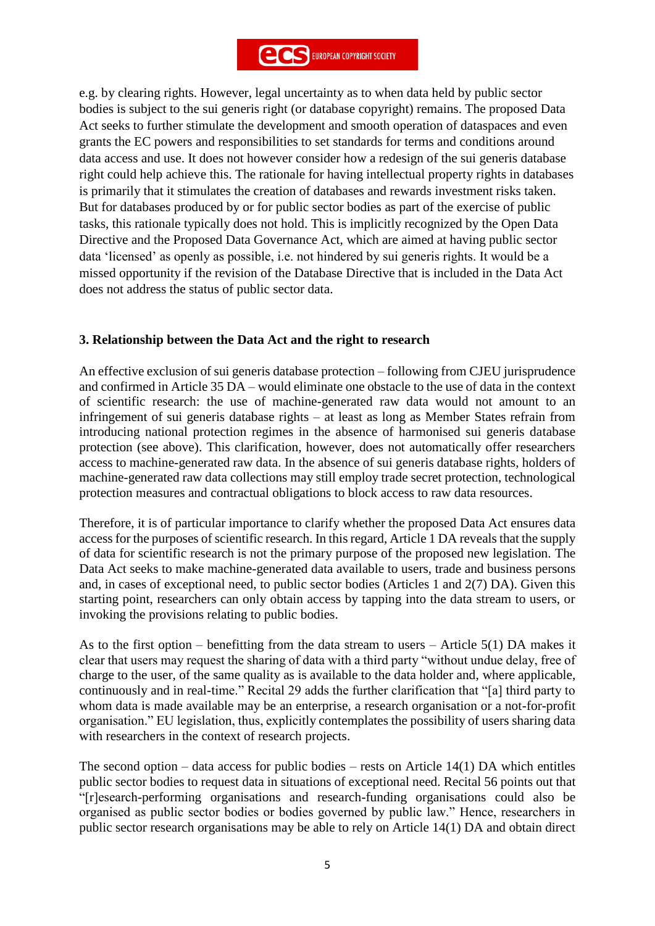e.g. by clearing rights. However, legal uncertainty as to when data held by public sector bodies is subject to the sui generis right (or database copyright) remains. The proposed Data Act seeks to further stimulate the development and smooth operation of dataspaces and even grants the EC powers and responsibilities to set standards for terms and conditions around data access and use. It does not however consider how a redesign of the sui generis database right could help achieve this. The rationale for having intellectual property rights in databases is primarily that it stimulates the creation of databases and rewards investment risks taken. But for databases produced by or for public sector bodies as part of the exercise of public tasks, this rationale typically does not hold. This is implicitly recognized by the Open Data Directive and the Proposed Data Governance Act, which are aimed at having public sector data 'licensed' as openly as possible, i.e. not hindered by sui generis rights. It would be a missed opportunity if the revision of the Database Directive that is included in the Data Act does not address the status of public sector data.

### **3. Relationship between the Data Act and the right to research**

An effective exclusion of sui generis database protection – following from CJEU jurisprudence and confirmed in Article 35 DA – would eliminate one obstacle to the use of data in the context of scientific research: the use of machine-generated raw data would not amount to an infringement of sui generis database rights – at least as long as Member States refrain from introducing national protection regimes in the absence of harmonised sui generis database protection (see above). This clarification, however, does not automatically offer researchers access to machine-generated raw data. In the absence of sui generis database rights, holders of machine-generated raw data collections may still employ trade secret protection, technological protection measures and contractual obligations to block access to raw data resources.

Therefore, it is of particular importance to clarify whether the proposed Data Act ensures data access for the purposes of scientific research. In this regard, Article 1 DA reveals that the supply of data for scientific research is not the primary purpose of the proposed new legislation. The Data Act seeks to make machine-generated data available to users, trade and business persons and, in cases of exceptional need, to public sector bodies (Articles 1 and 2(7) DA). Given this starting point, researchers can only obtain access by tapping into the data stream to users, or invoking the provisions relating to public bodies.

As to the first option – benefitting from the data stream to users – Article 5(1) DA makes it clear that users may request the sharing of data with a third party "without undue delay, free of charge to the user, of the same quality as is available to the data holder and, where applicable, continuously and in real-time." Recital 29 adds the further clarification that "[a] third party to whom data is made available may be an enterprise, a research organisation or a not-for-profit organisation." EU legislation, thus, explicitly contemplates the possibility of users sharing data with researchers in the context of research projects.

The second option – data access for public bodies – rests on Article  $14(1)$  DA which entitles public sector bodies to request data in situations of exceptional need. Recital 56 points out that "[r]esearch-performing organisations and research-funding organisations could also be organised as public sector bodies or bodies governed by public law." Hence, researchers in public sector research organisations may be able to rely on Article 14(1) DA and obtain direct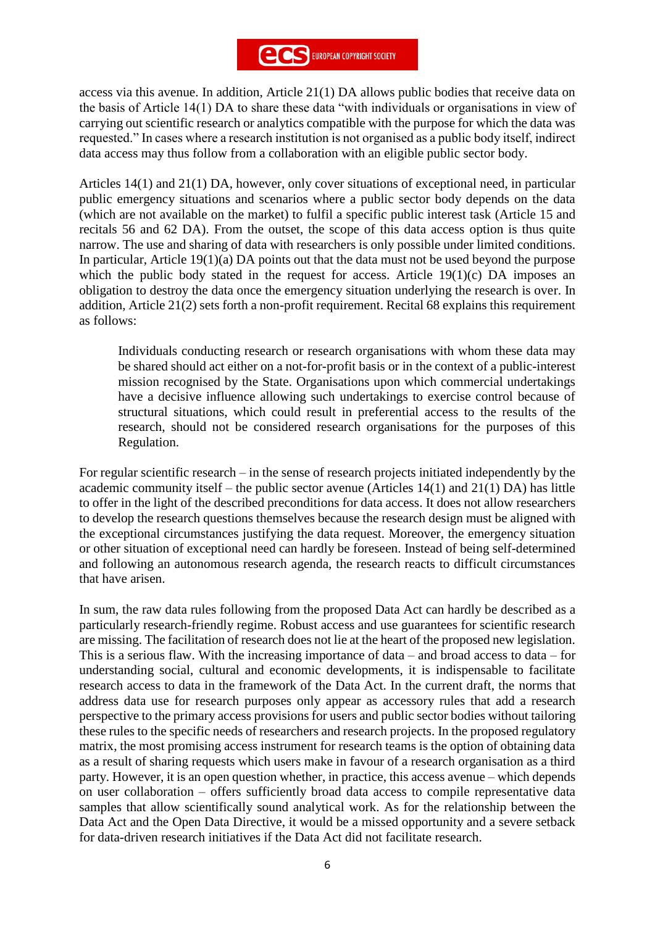access via this avenue. In addition, Article 21(1) DA allows public bodies that receive data on the basis of Article 14(1) DA to share these data "with individuals or organisations in view of carrying out scientific research or analytics compatible with the purpose for which the data was requested." In cases where a research institution is not organised as a public body itself, indirect data access may thus follow from a collaboration with an eligible public sector body.

Articles 14(1) and 21(1) DA, however, only cover situations of exceptional need, in particular public emergency situations and scenarios where a public sector body depends on the data (which are not available on the market) to fulfil a specific public interest task (Article 15 and recitals 56 and 62 DA). From the outset, the scope of this data access option is thus quite narrow. The use and sharing of data with researchers is only possible under limited conditions. In particular, Article 19(1)(a) DA points out that the data must not be used beyond the purpose which the public body stated in the request for access. Article  $19(1)(c)$  DA imposes an obligation to destroy the data once the emergency situation underlying the research is over. In addition, Article 21(2) sets forth a non-profit requirement. Recital 68 explains this requirement as follows:

Individuals conducting research or research organisations with whom these data may be shared should act either on a not-for-profit basis or in the context of a public-interest mission recognised by the State. Organisations upon which commercial undertakings have a decisive influence allowing such undertakings to exercise control because of structural situations, which could result in preferential access to the results of the research, should not be considered research organisations for the purposes of this Regulation.

For regular scientific research – in the sense of research projects initiated independently by the academic community itself – the public sector avenue (Articles 14(1) and 21(1) DA) has little to offer in the light of the described preconditions for data access. It does not allow researchers to develop the research questions themselves because the research design must be aligned with the exceptional circumstances justifying the data request. Moreover, the emergency situation or other situation of exceptional need can hardly be foreseen. Instead of being self-determined and following an autonomous research agenda, the research reacts to difficult circumstances that have arisen.

In sum, the raw data rules following from the proposed Data Act can hardly be described as a particularly research-friendly regime. Robust access and use guarantees for scientific research are missing. The facilitation of research does not lie at the heart of the proposed new legislation. This is a serious flaw. With the increasing importance of data – and broad access to data – for understanding social, cultural and economic developments, it is indispensable to facilitate research access to data in the framework of the Data Act. In the current draft, the norms that address data use for research purposes only appear as accessory rules that add a research perspective to the primary access provisions for users and public sector bodies without tailoring these rules to the specific needs of researchers and research projects. In the proposed regulatory matrix, the most promising access instrument for research teams is the option of obtaining data as a result of sharing requests which users make in favour of a research organisation as a third party. However, it is an open question whether, in practice, this access avenue – which depends on user collaboration – offers sufficiently broad data access to compile representative data samples that allow scientifically sound analytical work. As for the relationship between the Data Act and the Open Data Directive, it would be a missed opportunity and a severe setback for data-driven research initiatives if the Data Act did not facilitate research.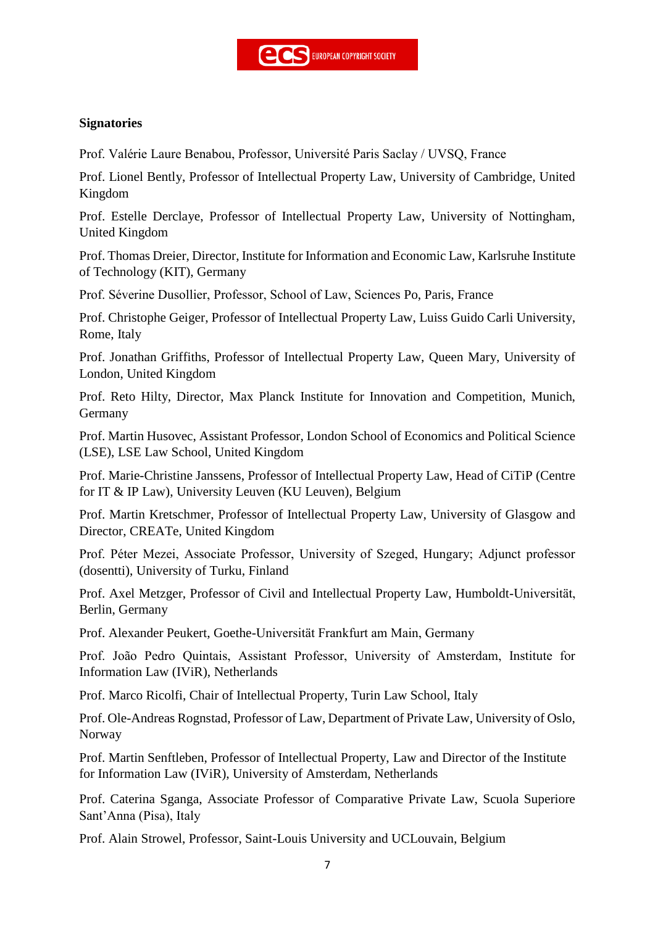

### **Signatories**

Prof. Valérie Laure Benabou, Professor, Université Paris Saclay / UVSQ, France

Prof. Lionel Bently, Professor of Intellectual Property Law, University of Cambridge, United Kingdom

Prof. Estelle Derclaye, Professor of Intellectual Property Law, University of Nottingham, United Kingdom

Prof. Thomas Dreier, Director, Institute for Information and Economic Law, Karlsruhe Institute of Technology (KIT), Germany

Prof. Séverine Dusollier, Professor, School of Law, Sciences Po, Paris, France

Prof. Christophe Geiger, Professor of Intellectual Property Law, Luiss Guido Carli University, Rome, Italy

Prof. Jonathan Griffiths, Professor of Intellectual Property Law, Queen Mary, University of London, United Kingdom

Prof. Reto Hilty, Director, Max Planck Institute for Innovation and Competition, Munich, Germany

Prof. Martin Husovec, Assistant Professor, London School of Economics and Political Science (LSE), LSE Law School, United Kingdom

Prof. Marie-Christine Janssens, Professor of Intellectual Property Law, Head of CiTiP (Centre for IT & IP Law), University Leuven (KU Leuven), Belgium

Prof. Martin Kretschmer, Professor of Intellectual Property Law, University of Glasgow and Director, CREATe, United Kingdom

Prof. Péter Mezei, Associate Professor, University of Szeged, Hungary; Adjunct professor (dosentti), University of Turku, Finland

Prof. Axel Metzger, Professor of Civil and Intellectual Property Law, Humboldt-Universität, Berlin, Germany

Prof. Alexander Peukert, Goethe-Universität Frankfurt am Main, Germany

Prof. João Pedro Quintais, Assistant Professor, University of Amsterdam, Institute for Information Law (IViR), Netherlands

Prof. Marco Ricolfi, Chair of Intellectual Property, Turin Law School, Italy

Prof. Ole-Andreas Rognstad, Professor of Law, Department of Private Law, University of Oslo, Norway

Prof. Martin Senftleben, Professor of Intellectual Property, Law and Director of the Institute for Information Law (IViR), University of Amsterdam, Netherlands

Prof. Caterina Sganga, Associate Professor of Comparative Private Law, Scuola Superiore Sant'Anna (Pisa), Italy

Prof. Alain Strowel, Professor, Saint-Louis University and UCLouvain, Belgium